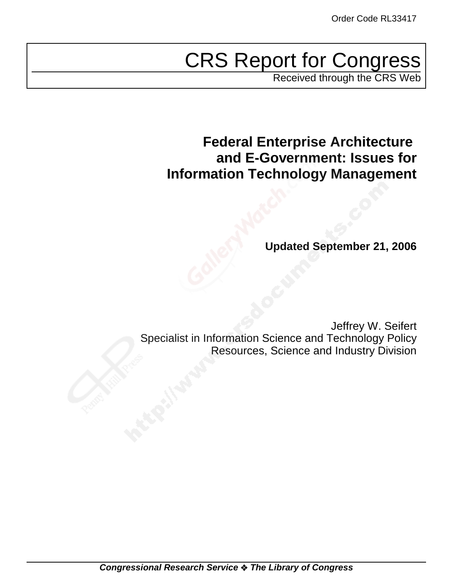# CRS Report for Congress

Received through the CRS Web

**Federal Enterprise Architecture and E-Government: Issues for Information Technology Management**

**Updated September 21, 2006**

Jeffrey W. Seifert Specialist in Information Science and Technology Policy Resources, Science and Industry Division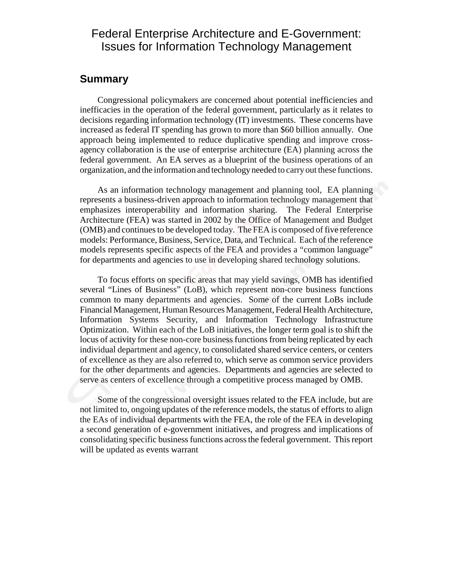#### Federal Enterprise Architecture and E-Government: Issues for Information Technology Management

#### **Summary**

Congressional policymakers are concerned about potential inefficiencies and inefficacies in the operation of the federal government, particularly as it relates to decisions regarding information technology (IT) investments. These concerns have increased as federal IT spending has grown to more than \$60 billion annually. One approach being implemented to reduce duplicative spending and improve crossagency collaboration is the use of enterprise architecture (EA) planning across the federal government. An EA serves as a blueprint of the business operations of an organization, and the information and technology needed to carry out these functions.

As an information technology management and planning tool, EA planning represents a business-driven approach to information technology management that emphasizes interoperability and information sharing. The Federal Enterprise Architecture (FEA) was started in 2002 by the Office of Management and Budget (OMB) and continues to be developed today. The FEA is composed of five reference models: Performance, Business, Service, Data, and Technical. Each of the reference models represents specific aspects of the FEA and provides a "common language" for departments and agencies to use in developing shared technology solutions.

To focus efforts on specific areas that may yield savings, OMB has identified several "Lines of Business" (LoB), which represent non-core business functions common to many departments and agencies. Some of the current LoBs include Financial Management, Human Resources Management, Federal Health Architecture, Information Systems Security, and Information Technology Infrastructure Optimization. Within each of the LoB initiatives, the longer term goal is to shift the locus of activity for these non-core business functions from being replicated by each individual department and agency, to consolidated shared service centers, or centers of excellence as they are also referred to, which serve as common service providers for the other departments and agencies. Departments and agencies are selected to serve as centers of excellence through a competitive process managed by OMB.

Some of the congressional oversight issues related to the FEA include, but are not limited to, ongoing updates of the reference models, the status of efforts to align the EAs of individual departments with the FEA, the role of the FEA in developing a second generation of e-government initiatives, and progress and implications of consolidating specific business functions across the federal government. This report will be updated as events warrant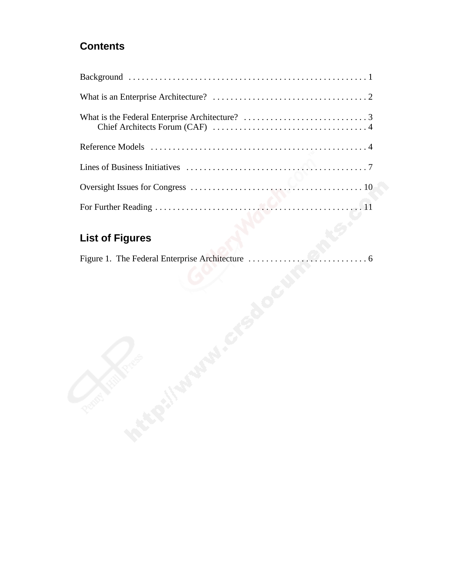## **Contents**

# **List of Figures**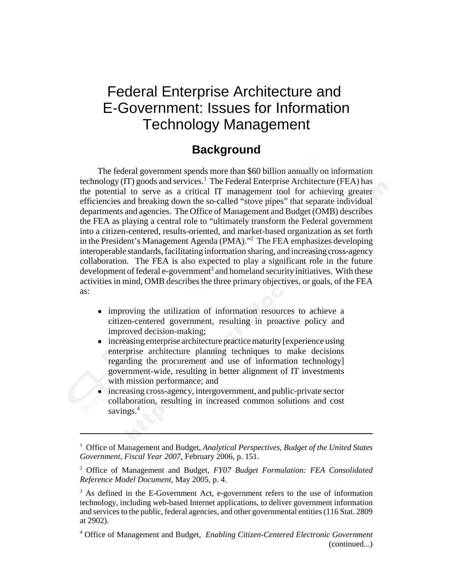# Federal Enterprise Architecture and E-Government: Issues for Information Technology Management

## **Background**

The federal government spends more than \$60 billion annually on information technology (IT) goods and services.<sup>1</sup> The Federal Enterprise Architecture (FEA) has the potential to serve as a critical IT management tool for achieving greater efficiencies and breaking down the so-called "stove pipes" that separate individual departments and agencies. The Office of Management and Budget (OMB) describes the FEA as playing a central role to "ultimately transform the Federal government into a citizen-centered, results-oriented, and market-based organization as set forth in the President's Management Agenda (PMA)."<sup>2</sup> The FEA emphasizes developing interoperable standards, facilitating information sharing, and increasing cross-agency collaboration. The FEA is also expected to play a significant role in the future development of federal e-government<sup>3</sup> and homeland security initiatives. With these activities in mind, OMB describes the three primary objectives, or goals, of the FEA as:

- improving the utilization of information resources to achieve a citizen-centered government, resulting in proactive policy and improved decision-making;
- increasing enterprise architecture practice maturity [experience using enterprise architecture planning techniques to make decisions regarding the procurement and use of information technology] government-wide, resulting in better alignment of IT investments with mission performance; and
- increasing cross-agency, intergovernment, and public-private sector collaboration, resulting in increased common solutions and cost savings.<sup>4</sup>

<sup>&</sup>lt;sup>1</sup> Office of Management and Budget, Analytical Perspectives, Budget of the United States *Government, Fiscal Year 2007*, February 2006, p. 151.

<sup>2</sup> Office of Management and Budget, *FY07 Budget Formulation: FEA Consolidated Reference Model Document*, May 2005, p. 4.

<sup>&</sup>lt;sup>3</sup> As defined in the E-Government Act, e-government refers to the use of information technology, including web-based Internet applications, to deliver government information and services to the public, federal agencies, and other governmental entities (116 Stat. 2809 at 2902).

<sup>4</sup> Office of Management and Budget, *Enabling Citizen-Centered Electronic Government* (continued...)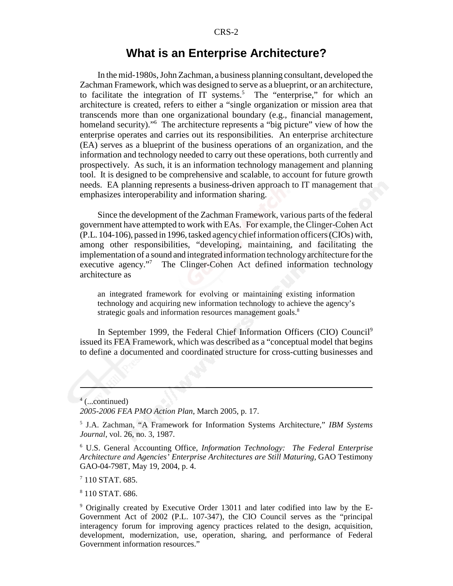#### **What is an Enterprise Architecture?**

In the mid-1980s, John Zachman, a business planning consultant, developed the Zachman Framework, which was designed to serve as a blueprint, or an architecture, to facilitate the integration of  $IT$  systems.<sup>5</sup> The "enterprise," for which an architecture is created, refers to either a "single organization or mission area that transcends more than one organizational boundary (e.g., financial management, homeland security)."<sup>6</sup> The architecture represents a "big picture" view of how the enterprise operates and carries out its responsibilities. An enterprise architecture (EA) serves as a blueprint of the business operations of an organization, and the information and technology needed to carry out these operations, both currently and prospectively. As such, it is an information technology management and planning tool. It is designed to be comprehensive and scalable, to account for future growth needs. EA planning represents a business-driven approach to IT management that emphasizes interoperability and information sharing.

Since the development of the Zachman Framework, various parts of the federal government have attempted to work with EAs. For example, the Clinger-Cohen Act (P.L. 104-106), passed in 1996, tasked agency chief information officers (CIOs) with, among other responsibilities, "developing, maintaining, and facilitating the implementation of a sound and integrated information technology architecture for the executive agency."<sup>7</sup> The Clinger-Cohen Act defined information technology architecture as

an integrated framework for evolving or maintaining existing information technology and acquiring new information technology to achieve the agency's strategic goals and information resources management goals.<sup>8</sup>

In September 1999, the Federal Chief Information Officers (CIO) Council<sup>9</sup> issued its FEA Framework, which was described as a "conceptual model that begins to define a documented and coordinated structure for cross-cutting businesses and

4 (...continued)

*2005-2006 FEA PMO Action Plan*, March 2005, p. 17.

 $7$  110 STAT. 685.

8 110 STAT. 686.

<sup>5</sup> J.A. Zachman, "A Framework for Information Systems Architecture," *IBM Systems Journal*, vol. 26, no. 3, 1987.

<sup>6</sup> U.S. General Accounting Office, *Information Technology: The Federal Enterprise Architecture and Agencies' Enterprise Architectures are Still Maturing,* GAO Testimony GAO-04-798T, May 19, 2004, p. 4.

<sup>9</sup> Originally created by Executive Order 13011 and later codified into law by the E-Government Act of 2002 (P.L. 107-347), the CIO Council serves as the "principal interagency forum for improving agency practices related to the design, acquisition, development, modernization, use, operation, sharing, and performance of Federal Government information resources."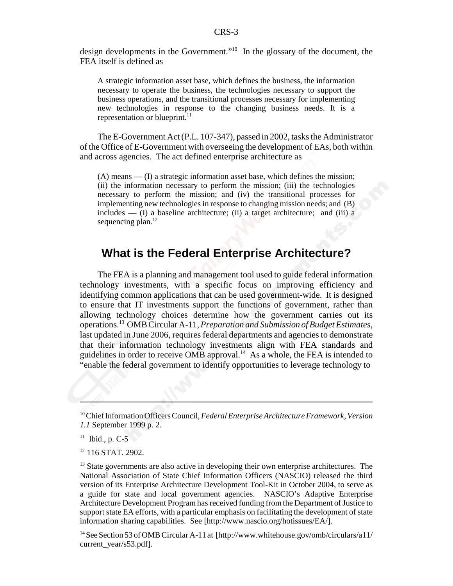design developments in the Government."10 In the glossary of the document, the FEA itself is defined as

A strategic information asset base, which defines the business, the information necessary to operate the business, the technologies necessary to support the business operations, and the transitional processes necessary for implementing new technologies in response to the changing business needs. It is a representation or blueprint.<sup>11</sup>

The E-Government Act (P.L. 107-347), passed in 2002, tasks the Administrator of the Office of E-Government with overseeing the development of EAs, both within and across agencies. The act defined enterprise architecture as

(A) means — (I) a strategic information asset base, which defines the mission; (ii) the information necessary to perform the mission; (iii) the technologies necessary to perform the mission; and (iv) the transitional processes for implementing new technologies in response to changing mission needs; and (B) includes  $-$  (I) a baseline architecture; (ii) a target architecture; and (iii) a sequencing plan. $12$ 

#### **What is the Federal Enterprise Architecture?**

The FEA is a planning and management tool used to guide federal information technology investments, with a specific focus on improving efficiency and identifying common applications that can be used government-wide. It is designed to ensure that IT investments support the functions of government, rather than allowing technology choices determine how the government carries out its operations.13 OMB Circular A-11, *Preparation and Submission of Budget Estimates*, last updated in June 2006, requires federal departments and agencies to demonstrate that their information technology investments align with FEA standards and guidelines in order to receive OMB approval.<sup>14</sup> As a whole, the FEA is intended to "enable the federal government to identify opportunities to leverage technology to

<sup>10</sup> Chief Information Officers Council, *Federal Enterprise Architecture Framework, Version 1.1* September 1999 p. 2.

 $11$  Ibid., p. C-5

<sup>&</sup>lt;sup>12</sup> 116 STAT. 2902.

 $<sup>13</sup>$  State governments are also active in developing their own enterprise architectures. The</sup> National Association of State Chief Information Officers (NASCIO) released the third version of its Enterprise Architecture Development Tool-Kit in October 2004, to serve as a guide for state and local government agencies. NASCIO's Adaptive Enterprise Architecture Development Program has received funding from the Department of Justice to support state EA efforts, with a particular emphasis on facilitating the development of state information sharing capabilities. See [http://www.nascio.org/hotissues/EA/].

<sup>&</sup>lt;sup>14</sup> See Section 53 of OMB Circular A-11 at [http://www.whitehouse.gov/omb/circulars/a11/ current\_year/s53.pdf].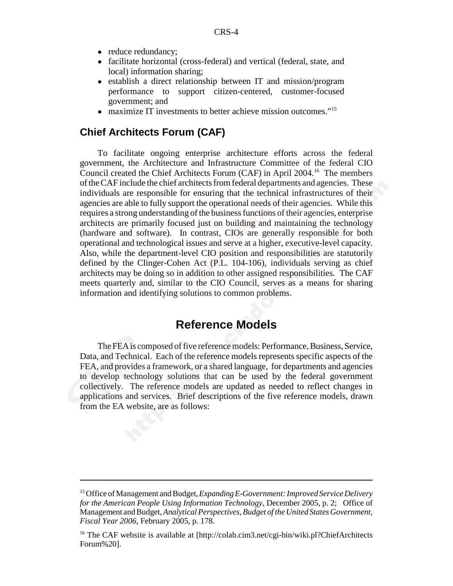- reduce redundancy;
- facilitate horizontal (cross-federal) and vertical (federal, state, and local) information sharing;
- establish a direct relationship between IT and mission/program performance to support citizen-centered, customer-focused government; and
- maximize IT investments to better achieve mission outcomes."<sup>15</sup>

#### **Chief Architects Forum (CAF)**

To facilitate ongoing enterprise architecture efforts across the federal government, the Architecture and Infrastructure Committee of the federal CIO Council created the Chief Architects Forum (CAF) in April 2004.16 The members of the CAF include the chief architects from federal departments and agencies. These individuals are responsible for ensuring that the technical infrastructures of their agencies are able to fully support the operational needs of their agencies. While this requires a strong understanding of the business functions of their agencies, enterprise architects are primarily focused just on building and maintaining the technology (hardware and software). In contrast, CIOs are generally responsible for both operational and technological issues and serve at a higher, executive-level capacity. Also, while the department-level CIO position and responsibilities are statutorily defined by the Clinger-Cohen Act (P.L. 104-106), individuals serving as chief architects may be doing so in addition to other assigned responsibilities. The CAF meets quarterly and, similar to the CIO Council, serves as a means for sharing information and identifying solutions to common problems.

#### **Reference Models**

The FEA is composed of five reference models: Performance, Business, Service, Data, and Technical. Each of the reference models represents specific aspects of the FEA, and provides a framework, or a shared language, for departments and agencies to develop technology solutions that can be used by the federal government collectively. The reference models are updated as needed to reflect changes in applications and services. Brief descriptions of the five reference models, drawn from the EA website, are as follows:

<sup>15</sup> Office of Management and Budget, *Expanding E-Government: Improved Service Delivery for the American People Using Information Technology*, December 2005, p. 2; Office of Management and Budget, *Analytical Perspectives, Budget of the United States Government, Fiscal Year 2006*, February 2005, p. 178.

<sup>&</sup>lt;sup>16</sup> The CAF website is available at [http://colab.cim3.net/cgi-bin/wiki.pl?ChiefArchitects] Forum%20].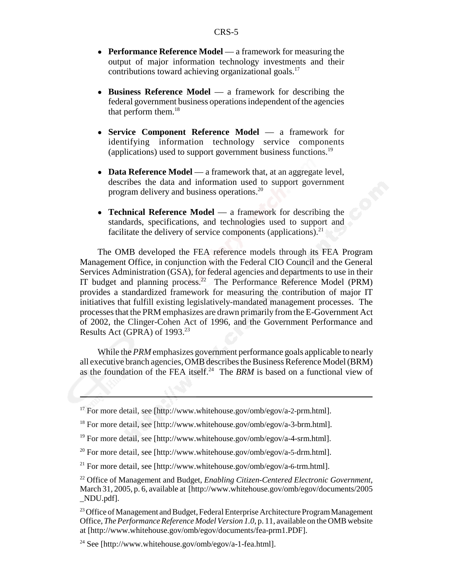- **Performance Reference Model** a framework for measuring the output of major information technology investments and their contributions toward achieving organizational goals. $^{17}$
- **Business Reference Model** a framework for describing the federal government business operations independent of the agencies that perform them. $^{18}$
- ! **Service Component Reference Model** a framework for identifying information technology service components (applications) used to support government business functions.19
- **Data Reference Model** a framework that, at an aggregate level, describes the data and information used to support government program delivery and business operations.20
- **Technical Reference Model** a framework for describing the standards, specifications, and technologies used to support and facilitate the delivery of service components (applications). $^{21}$

The OMB developed the FEA reference models through its FEA Program Management Office, in conjunction with the Federal CIO Council and the General Services Administration (GSA), for federal agencies and departments to use in their IT budget and planning process.<sup>22</sup> The Performance Reference Model (PRM) provides a standardized framework for measuring the contribution of major IT initiatives that fulfill existing legislatively-mandated management processes. The processes that the PRM emphasizes are drawn primarily from the E-Government Act of 2002, the Clinger-Cohen Act of 1996, and the Government Performance and Results Act (GPRA) of  $1993.<sup>23</sup>$ 

While the *PRM* emphasizes government performance goals applicable to nearly all executive branch agencies, OMB describes the Business Reference Model (BRM) as the foundation of the FEA itself.<sup>24</sup> The *BRM* is based on a functional view of

 $17$  For more detail, see [http://www.whitehouse.gov/omb/egov/a-2-prm.html].

<sup>&</sup>lt;sup>18</sup> For more detail, see [http://www.whitehouse.gov/omb/egov/a-3-brm.html].

<sup>&</sup>lt;sup>19</sup> For more detail, see [http://www.whitehouse.gov/omb/egov/a-4-srm.html].

 $^{20}$  For more detail, see [http://www.whitehouse.gov/omb/egov/a-5-drm.html].

<sup>&</sup>lt;sup>21</sup> For more detail, see [http://www.whitehouse.gov/omb/egov/a-6-trm.html].

<sup>22</sup> Office of Management and Budget, *Enabling Citizen-Centered Electronic Government*, March 31, 2005, p. 6, available at [http://www.whitehouse.gov/omb/egov/documents/2005 \_NDU.pdf].

<sup>&</sup>lt;sup>23</sup> Office of Management and Budget, Federal Enterprise Architecture Program Management Office, *The Performance Reference Model Version 1.0*, p. 11, available on the OMB website at [http://www.whitehouse.gov/omb/egov/documents/fea-prm1.PDF].

<sup>&</sup>lt;sup>24</sup> See [http://www.whitehouse.gov/omb/egov/a-1-fea.html].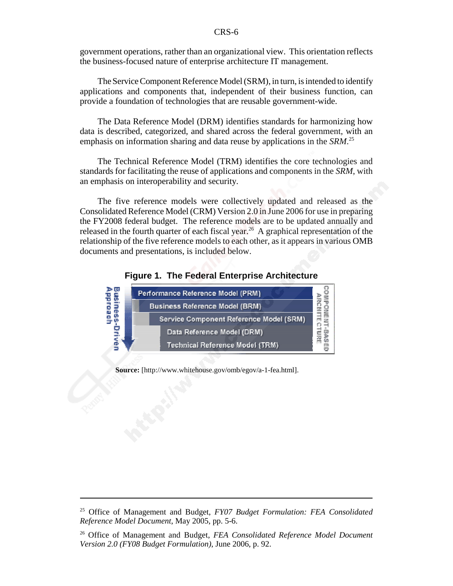#### CRS-6

government operations, rather than an organizational view. This orientation reflects the business-focused nature of enterprise architecture IT management.

The Service Component Reference Model (SRM), in turn, is intended to identify applications and components that, independent of their business function, can provide a foundation of technologies that are reusable government-wide.

The Data Reference Model (DRM) identifies standards for harmonizing how data is described, categorized, and shared across the federal government, with an emphasis on information sharing and data reuse by applications in the *SRM*. 25

The Technical Reference Model (TRM) identifies the core technologies and standards for facilitating the reuse of applications and components in the *SRM*, with an emphasis on interoperability and security.

The five reference models were collectively updated and released as the Consolidated Reference Model (CRM) Version 2.0 in June 2006 for use in preparing the FY2008 federal budget. The reference models are to be updated annually and released in the fourth quarter of each fiscal year.<sup>26</sup> A graphical representation of the relationship of the five reference models to each other, as it appears in various OMB documents and presentations, is included below.





**Source:** [http://www.whitehouse.gov/omb/egov/a-1-fea.html].

<sup>25</sup> Office of Management and Budget, *FY07 Budget Formulation: FEA Consolidated Reference Model Document*, May 2005, pp. 5-6.

<sup>26</sup> Office of Management and Budget, *FEA Consolidated Reference Model Document Version 2.0 (FY08 Budget Formulation)*, June 2006, p. 92.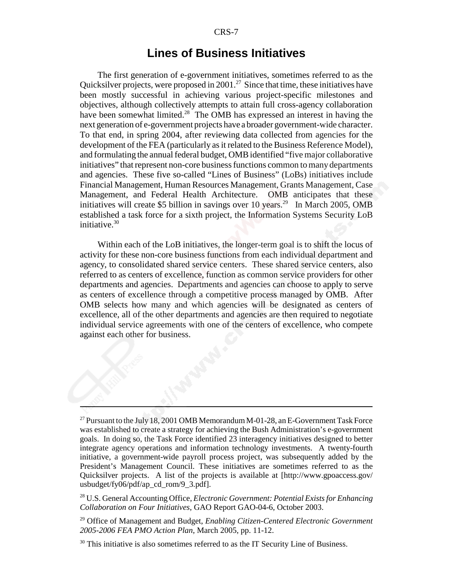#### **Lines of Business Initiatives**

The first generation of e-government initiatives, sometimes referred to as the Quicksilver projects, were proposed in 2001.<sup>27</sup> Since that time, these initiatives have been mostly successful in achieving various project-specific milestones and objectives, although collectively attempts to attain full cross-agency collaboration have been somewhat limited.<sup>28</sup> The OMB has expressed an interest in having the next generation of e-government projects have a broader government-wide character. To that end, in spring 2004, after reviewing data collected from agencies for the development of the FEA (particularly as it related to the Business Reference Model), and formulating the annual federal budget, OMB identified "five major collaborative initiatives" that represent non-core business functions common to many departments and agencies. These five so-called "Lines of Business" (LoBs) initiatives include Financial Management, Human Resources Management, Grants Management, Case Management, and Federal Health Architecture. OMB anticipates that these initiatives will create \$5 billion in savings over 10 years.<sup>29</sup> In March 2005, OMB established a task force for a sixth project, the Information Systems Security LoB initiative.30

Within each of the LoB initiatives, the longer-term goal is to shift the locus of activity for these non-core business functions from each individual department and agency, to consolidated shared service centers. These shared service centers, also referred to as centers of excellence, function as common service providers for other departments and agencies. Departments and agencies can choose to apply to serve as centers of excellence through a competitive process managed by OMB. After OMB selects how many and which agencies will be designated as centers of excellence, all of the other departments and agencies are then required to negotiate individual service agreements with one of the centers of excellence, who compete against each other for business.

<sup>&</sup>lt;sup>27</sup> Pursuant to the July 18, 2001 OMB Memorandum M-01-28, an E-Government Task Force was established to create a strategy for achieving the Bush Administration's e-government goals. In doing so, the Task Force identified 23 interagency initiatives designed to better integrate agency operations and information technology investments. A twenty-fourth initiative, a government-wide payroll process project, was subsequently added by the President's Management Council. These initiatives are sometimes referred to as the Quicksilver projects. A list of the projects is available at [http://www.gpoaccess.gov/ usbudget/fy06/pdf/ap\_cd\_rom/9\_3.pdf].

<sup>28</sup> U.S. General Accounting Office, *Electronic Government: Potential Exists for Enhancing Collaboration on Four Initiatives*, GAO Report GAO-04-6, October 2003.

<sup>29</sup> Office of Management and Budget, *Enabling Citizen-Centered Electronic Government 2005-2006 FEA PMO Action Plan*, March 2005, pp. 11-12.

<sup>&</sup>lt;sup>30</sup> This initiative is also sometimes referred to as the IT Security Line of Business.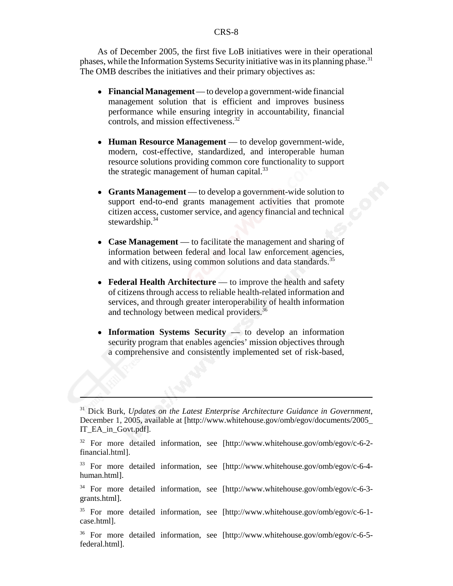As of December 2005, the first five LoB initiatives were in their operational phases, while the Information Systems Security initiative was in its planning phase.<sup>31</sup> The OMB describes the initiatives and their primary objectives as:

- ! **Financial Management** to develop a government-wide financial management solution that is efficient and improves business performance while ensuring integrity in accountability, financial controls, and mission effectiveness.32
- ! **Human Resource Management** to develop government-wide, modern, cost-effective, standardized, and interoperable human resource solutions providing common core functionality to support the strategic management of human capital.<sup>33</sup>
- ! **Grants Management** to develop a government-wide solution to support end-to-end grants management activities that promote citizen access, customer service, and agency financial and technical stewardship. $34$
- **Case Management** to facilitate the management and sharing of information between federal and local law enforcement agencies, and with citizens, using common solutions and data standards.<sup>35</sup>
- **Federal Health Architecture** to improve the health and safety of citizens through access to reliable health-related information and services, and through greater interoperability of health information and technology between medical providers.<sup>36</sup>
- **Information Systems Security** to develop an information security program that enables agencies' mission objectives through a comprehensive and consistently implemented set of risk-based,

<sup>31</sup> Dick Burk, *Updates on the Latest Enterprise Architecture Guidance in Government*, December 1, 2005, available at [http://www.whitehouse.gov/omb/egov/documents/2005\_ IT\_EA\_in\_Govt.pdf].

<sup>32</sup> For more detailed information, see [http://www.whitehouse.gov/omb/egov/c-6-2 financial.html].

<sup>33</sup> For more detailed information, see [http://www.whitehouse.gov/omb/egov/c-6-4 human.html].

<sup>34</sup> For more detailed information, see [http://www.whitehouse.gov/omb/egov/c-6-3 grants.html].

<sup>35</sup> For more detailed information, see [http://www.whitehouse.gov/omb/egov/c-6-1 case.html].

<sup>36</sup> For more detailed information, see [http://www.whitehouse.gov/omb/egov/c-6-5 federal.html].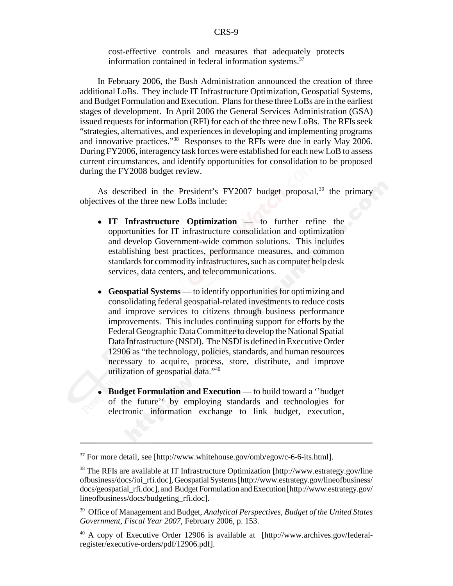cost-effective controls and measures that adequately protects information contained in federal information systems.<sup>37</sup>

In February 2006, the Bush Administration announced the creation of three additional LoBs. They include IT Infrastructure Optimization, Geospatial Systems, and Budget Formulation and Execution. Plans for these three LoBs are in the earliest stages of development. In April 2006 the General Services Administration (GSA) issued requests for information (RFI) for each of the three new LoBs. The RFIs seek "strategies, alternatives, and experiences in developing and implementing programs and innovative practices."38 Responses to the RFIs were due in early May 2006. During FY2006, interagency task forces were established for each new LoB to assess current circumstances, and identify opportunities for consolidation to be proposed during the FY2008 budget review.

As described in the President's FY2007 budget proposal,<sup>39</sup> the primary objectives of the three new LoBs include:

- ! **IT Infrastructure Optimization** to further refine the opportunities for IT infrastructure consolidation and optimization and develop Government-wide common solutions. This includes establishing best practices, performance measures, and common standards for commodity infrastructures, such as computer help desk services, data centers, and telecommunications.
- ! **Geospatial Systems** to identify opportunities for optimizing and consolidating federal geospatial-related investments to reduce costs and improve services to citizens through business performance improvements. This includes continuing support for efforts by the Federal Geographic Data Committee to develop the National Spatial Data Infrastructure (NSDI). The NSDI is defined in Executive Order 12906 as "the technology, policies, standards, and human resources necessary to acquire, process, store, distribute, and improve utilization of geospatial data."40
- ! **Budget Formulation and Execution** to build toward a ''budget of the future'' by employing standards and technologies for electronic information exchange to link budget, execution,

 $37$  For more detail, see [http://www.whitehouse.gov/omb/egov/c-6-6-its.html].

<sup>&</sup>lt;sup>38</sup> The RFIs are available at IT Infrastructure Optimization [http://www.estrategy.gov/line ofbusiness/docs/ioi\_rfi.doc], Geospatial Systems [http://www.estrategy.gov/lineofbusiness/ docs/geospatial\_rfi.doc], and Budget Formulation and Execution [http://www.estrategy.gov/ lineofbusiness/docs/budgeting\_rfi.doc].

<sup>39</sup> Office of Management and Budget, *Analytical Perspectives, Budget of the United States Government, Fiscal Year 2007*, February 2006, p. 153.

<sup>40</sup> A copy of Executive Order 12906 is available at [http://www.archives.gov/federalregister/executive-orders/pdf/12906.pdf].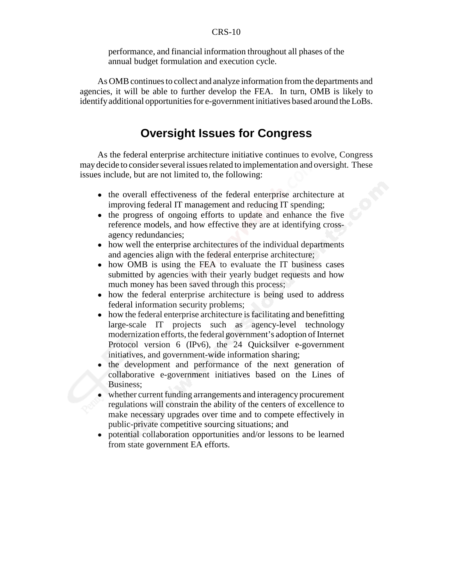#### CRS-10

performance, and financial information throughout all phases of the annual budget formulation and execution cycle.

As OMB continues to collect and analyze information from the departments and agencies, it will be able to further develop the FEA. In turn, OMB is likely to identify additional opportunities for e-government initiatives based around the LoBs.

## **Oversight Issues for Congress**

As the federal enterprise architecture initiative continues to evolve, Congress may decide to consider several issues related to implementation and oversight. These issues include, but are not limited to, the following:

- the overall effectiveness of the federal enterprise architecture at improving federal IT management and reducing IT spending;
- the progress of ongoing efforts to update and enhance the five reference models, and how effective they are at identifying crossagency redundancies;
- how well the enterprise architectures of the individual departments and agencies align with the federal enterprise architecture;
- how OMB is using the FEA to evaluate the IT business cases submitted by agencies with their yearly budget requests and how much money has been saved through this process;
- how the federal enterprise architecture is being used to address federal information security problems;
- how the federal enterprise architecture is facilitating and benefitting large-scale IT projects such as agency-level technology modernization efforts, the federal government's adoption of Internet Protocol version 6 (IPv6), the 24 Quicksilver e-government initiatives, and government-wide information sharing;
- the development and performance of the next generation of collaborative e-government initiatives based on the Lines of Business;
- whether current funding arrangements and interagency procurement regulations will constrain the ability of the centers of excellence to make necessary upgrades over time and to compete effectively in public-private competitive sourcing situations; and
- ! potential collaboration opportunities and/or lessons to be learned from state government EA efforts.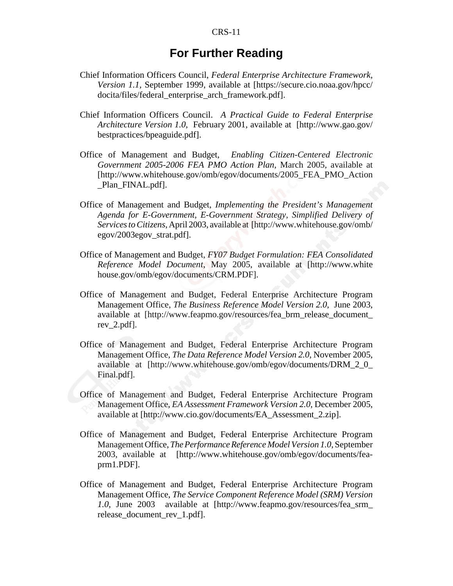#### **For Further Reading**

- Chief Information Officers Council, *Federal Enterprise Architecture Framework, Version 1.1,* September 1999, available at [https://secure.cio.noaa.gov/hpcc/ docita/files/federal\_enterprise\_arch\_framework.pdf].
- Chief Information Officers Council. *A Practical Guide to Federal Enterprise Architecture Version 1.0*, February 2001, available at [http://www.gao.gov/ bestpractices/bpeaguide.pdf].
- Office of Management and Budget, *Enabling Citizen-Centered Electronic Government 2005-2006 FEA PMO Action Plan*, March 2005, available at [http://www.whitehouse.gov/omb/egov/documents/2005\_FEA\_PMO\_Action Plan FINAL.pdf.
- Office of Management and Budget, *Implementing the President's Management Agenda for E-Government, E-Government Strategy, Simplified Delivery of Services to Citizens*, April 2003, available at [http://www.whitehouse.gov/omb/ egov/2003egov\_strat.pdf].
- Office of Management and Budget, *FY07 Budget Formulation: FEA Consolidated Reference Model Document*, May 2005, available at [http://www.white house.gov/omb/egov/documents/CRM.PDF].
- Office of Management and Budget, Federal Enterprise Architecture Program Management Office, *The Business Reference Model Version 2.0*, June 2003, available at [http://www.feapmo.gov/resources/fea\_brm\_release\_document\_ rev\_2.pdf].
- Office of Management and Budget, Federal Enterprise Architecture Program Management Office, *The Data Reference Model Version 2.0*, November 2005, available at [http://www.whitehouse.gov/omb/egov/documents/DRM\_2\_0\_ Final.pdf].
- Office of Management and Budget, Federal Enterprise Architecture Program Management Office, *EA Assessment Framework Version 2.0*, December 2005, available at [http://www.cio.gov/documents/EA\_Assessment\_2.zip].
- Office of Management and Budget, Federal Enterprise Architecture Program Management Office, *The Performance Reference Model Version 1.0*, September 2003, available at [http://www.whitehouse.gov/omb/egov/documents/feaprm1.PDF].
- Office of Management and Budget, Federal Enterprise Architecture Program Management Office, *The Service Component Reference Model (SRM) Version 1.0*, June 2003 available at [http://www.feapmo.gov/resources/fea\_srm\_ release\_document\_rev\_1.pdf].